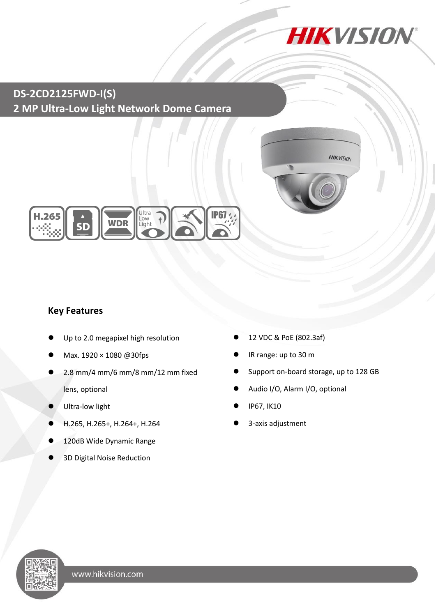

### **DS-2CD2125FWD-I(S) 2 MP Ultra-Low Light Network Dome Camera**





#### **Key Features**

- Up to 2.0 megapixel high resolution
- Max. 1920 × 1080 @30fps
- 2.8 mm/4 mm/6 mm/8 mm/12 mm fixed lens, optional
- Ultra-low light
- H.265, H.265+, H.264+, H.264
- 120dB Wide Dynamic Range
- 3D Digital Noise Reduction
- 12 VDC & PoE (802.3af)
- IR range: up to 30 m
- Support on-board storage, up to 128 GB
- Audio I/O, Alarm I/O, optional
- IP67, IK10
- 3-axis adjustment

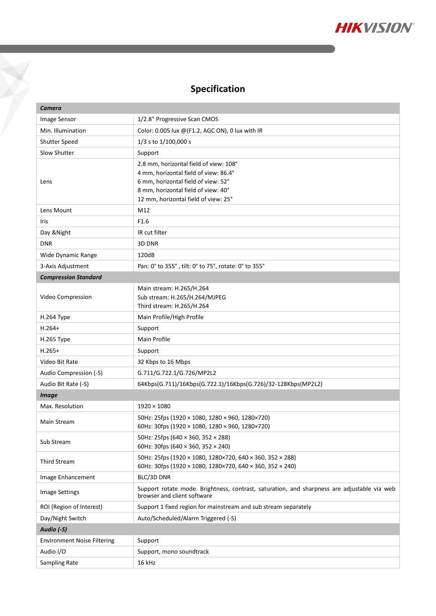

## **Specification**

Y

| Camera                             |                                                                                                                                                                                                       |  |
|------------------------------------|-------------------------------------------------------------------------------------------------------------------------------------------------------------------------------------------------------|--|
| Image Sensor                       | 1/2.8" Progressive Scan CMOS                                                                                                                                                                          |  |
| Min. Illumination                  | Color: 0.005 lux @(F1.2, AGC ON), 0 lux with IR                                                                                                                                                       |  |
| Shutter Speed                      | $1/3$ s to $1/100,000$ s                                                                                                                                                                              |  |
| Slow Shutter                       | Support                                                                                                                                                                                               |  |
| Lens                               | 2.8 mm, horizontal field of view: 108°<br>4 mm, horizontal field of view: 86.4°<br>6 mm, horizontal field of view: 52°<br>8 mm, horizontal field of view: 40°<br>12 mm, horizontal field of view: 25° |  |
| Lens Mount                         | M12                                                                                                                                                                                                   |  |
| Iris                               | F1.6                                                                                                                                                                                                  |  |
| Day & Night                        | IR cut filter                                                                                                                                                                                         |  |
| <b>DNR</b>                         | 3D DNR                                                                                                                                                                                                |  |
| Wide Dynamic Range                 | 120dB                                                                                                                                                                                                 |  |
| 3-Axis Adjustment                  | Pan: 0° to 355°, tilt: 0° to 75°, rotate: 0° to 355°                                                                                                                                                  |  |
| <b>Compression Standard</b>        |                                                                                                                                                                                                       |  |
| Video Compression                  | Main stream: H.265/H.264<br>Sub stream: H.265/H.264/MJPEG<br>Third stream: H.265/H.264                                                                                                                |  |
| H.264 Type                         | Main Profile/High Profile                                                                                                                                                                             |  |
| $H.264+$                           | Support                                                                                                                                                                                               |  |
| H.265 Type                         | <b>Main Profile</b>                                                                                                                                                                                   |  |
| $H.265+$                           | Support                                                                                                                                                                                               |  |
| Video Bit Rate                     | 32 Kbps to 16 Mbps                                                                                                                                                                                    |  |
| Audio Compression (-S)             | G.711/G.722.1/G.726/MP2L2                                                                                                                                                                             |  |
| Audio Bit Rate (-S)                | 64Kbps(G.711)/16Kbps(G.722.1)/16Kbps(G.726)/32-128Kbps(MP2L2)                                                                                                                                         |  |
| <b>Image</b>                       |                                                                                                                                                                                                       |  |
| Max. Resolution                    | $1920 \times 1080$                                                                                                                                                                                    |  |
| <b>Main Stream</b>                 | 50Hz: 25fps (1920 × 1080, 1280 × 960, 1280×720)<br>60Hz: 30fps (1920 × 1080, 1280 × 960, 1280×720)                                                                                                    |  |
| Sub Stream                         | 50Hz: 25fps (640 × 360, 352 × 288)<br>60Hz: 30fps (640 $\times$ 360, 352 $\times$ 240)                                                                                                                |  |
| <b>Third Stream</b>                | 50Hz: 25fps (1920 × 1080, 1280×720, 640 × 360, 352 × 288)<br>60Hz: 30fps (1920 × 1080, 1280×720, 640 × 360, 352 × 240)                                                                                |  |
| Image Enhancement                  | BLC/3D DNR                                                                                                                                                                                            |  |
| <b>Image Settings</b>              | Support rotate mode. Brightness, contrast, saturation, and sharpness are adjustable via web<br>browser and client software                                                                            |  |
| ROI (Region of Interest)           | Support 1 fixed region for mainstream and sub stream separately                                                                                                                                       |  |
| Day/Night Switch                   | Auto/Scheduled/Alarm Triggered (-S)                                                                                                                                                                   |  |
| Audio (-S)                         |                                                                                                                                                                                                       |  |
| <b>Environment Noise Filtering</b> | Support                                                                                                                                                                                               |  |
| Audio I/O                          | Support, mono soundtrack                                                                                                                                                                              |  |
| Sampling Rate                      | 16 kHz                                                                                                                                                                                                |  |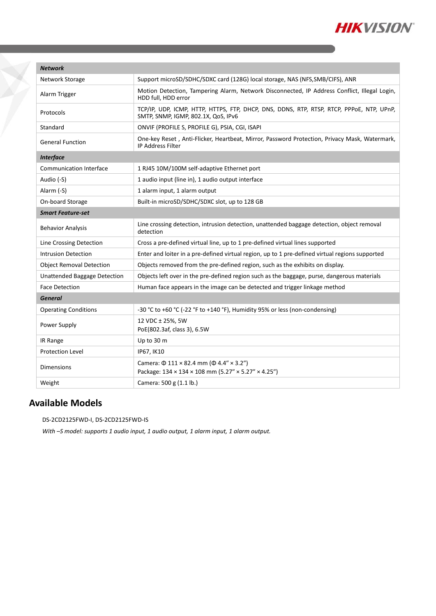

| <b>Network</b>                  |                                                                                                                                 |  |
|---------------------------------|---------------------------------------------------------------------------------------------------------------------------------|--|
| Network Storage                 | Support microSD/SDHC/SDXC card (128G) local storage, NAS (NFS, SMB/CIFS), ANR                                                   |  |
| Alarm Trigger                   | Motion Detection, Tampering Alarm, Network Disconnected, IP Address Conflict, Illegal Login,<br>HDD full, HDD error             |  |
| Protocols                       | TCP/IP, UDP, ICMP, HTTP, HTTPS, FTP, DHCP, DNS, DDNS, RTP, RTSP, RTCP, PPPOE, NTP, UPnP,<br>SMTP, SNMP, IGMP, 802.1X, QoS, IPv6 |  |
| Standard                        | ONVIF (PROFILE S, PROFILE G), PSIA, CGI, ISAPI                                                                                  |  |
| <b>General Function</b>         | One-key Reset, Anti-Flicker, Heartbeat, Mirror, Password Protection, Privacy Mask, Watermark,<br><b>IP Address Filter</b>       |  |
| <b>Interface</b>                |                                                                                                                                 |  |
| <b>Communication Interface</b>  | 1 RJ45 10M/100M self-adaptive Ethernet port                                                                                     |  |
| Audio (-S)                      | 1 audio input (line in), 1 audio output interface                                                                               |  |
| Alarm (-S)                      | 1 alarm input, 1 alarm output                                                                                                   |  |
| On-board Storage                | Built-in microSD/SDHC/SDXC slot, up to 128 GB                                                                                   |  |
| <b>Smart Feature-set</b>        |                                                                                                                                 |  |
| <b>Behavior Analysis</b>        | Line crossing detection, intrusion detection, unattended baggage detection, object removal<br>detection                         |  |
| Line Crossing Detection         | Cross a pre-defined virtual line, up to 1 pre-defined virtual lines supported                                                   |  |
| <b>Intrusion Detection</b>      | Enter and loiter in a pre-defined virtual region, up to 1 pre-defined virtual regions supported                                 |  |
| <b>Object Removal Detection</b> | Objects removed from the pre-defined region, such as the exhibits on display.                                                   |  |
| Unattended Baggage Detection    | Objects left over in the pre-defined region such as the baggage, purse, dangerous materials                                     |  |
| <b>Face Detection</b>           | Human face appears in the image can be detected and trigger linkage method                                                      |  |
| <b>General</b>                  |                                                                                                                                 |  |
| <b>Operating Conditions</b>     | -30 °C to +60 °C (-22 °F to +140 °F), Humidity 95% or less (non-condensing)                                                     |  |
| Power Supply                    | 12 VDC ± 25%, 5W<br>PoE(802.3af, class 3), 6.5W                                                                                 |  |
| IR Range                        | Up to 30 m                                                                                                                      |  |
| <b>Protection Level</b>         | IP67, IK10                                                                                                                      |  |
| <b>Dimensions</b>               | Camera: $\Phi$ 111 × 82.4 mm ( $\Phi$ 4.4" × 3.2")<br>Package: 134 × 134 × 108 mm (5.27" × 5.27" × 4.25")                       |  |
| Weight                          | Camera: 500 g (1.1 lb.)                                                                                                         |  |

### **Available Models**

DS-2CD2125FWD-I, DS-2CD2125FWD-IS

*With –S model: supports 1 audio input, 1 audio output, 1 alarm input, 1 alarm output.*